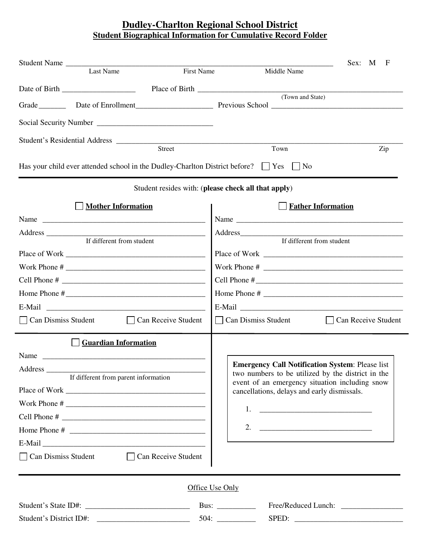## **Dudley-Charlton Regional School District Student Biographical Information for Cumulative Record Folder**

|                                                                                                                                                                                                                                                                                                                    | Student Name                            |                                                     |                                                                                                                                                                                                                    |                           | Sex: M<br>F                             |  |  |  |  |  |  |
|--------------------------------------------------------------------------------------------------------------------------------------------------------------------------------------------------------------------------------------------------------------------------------------------------------------------|-----------------------------------------|-----------------------------------------------------|--------------------------------------------------------------------------------------------------------------------------------------------------------------------------------------------------------------------|---------------------------|-----------------------------------------|--|--|--|--|--|--|
|                                                                                                                                                                                                                                                                                                                    | Last Name                               | First Name                                          |                                                                                                                                                                                                                    | Middle Name               |                                         |  |  |  |  |  |  |
|                                                                                                                                                                                                                                                                                                                    |                                         |                                                     |                                                                                                                                                                                                                    | (Town and State)          |                                         |  |  |  |  |  |  |
|                                                                                                                                                                                                                                                                                                                    |                                         |                                                     |                                                                                                                                                                                                                    |                           |                                         |  |  |  |  |  |  |
|                                                                                                                                                                                                                                                                                                                    |                                         |                                                     |                                                                                                                                                                                                                    |                           |                                         |  |  |  |  |  |  |
|                                                                                                                                                                                                                                                                                                                    |                                         |                                                     |                                                                                                                                                                                                                    |                           |                                         |  |  |  |  |  |  |
|                                                                                                                                                                                                                                                                                                                    |                                         | <b>Street</b>                                       |                                                                                                                                                                                                                    | Town                      | Zip                                     |  |  |  |  |  |  |
| Has your child ever attended school in the Dudley-Charlton District before? $\Box$ Yes $\Box$ No                                                                                                                                                                                                                   |                                         |                                                     |                                                                                                                                                                                                                    |                           |                                         |  |  |  |  |  |  |
|                                                                                                                                                                                                                                                                                                                    |                                         | Student resides with: (please check all that apply) |                                                                                                                                                                                                                    |                           |                                         |  |  |  |  |  |  |
|                                                                                                                                                                                                                                                                                                                    | <b>Mother Information</b>               |                                                     |                                                                                                                                                                                                                    | <b>Father Information</b> |                                         |  |  |  |  |  |  |
|                                                                                                                                                                                                                                                                                                                    |                                         |                                                     |                                                                                                                                                                                                                    |                           |                                         |  |  |  |  |  |  |
|                                                                                                                                                                                                                                                                                                                    |                                         |                                                     |                                                                                                                                                                                                                    |                           |                                         |  |  |  |  |  |  |
| If different from student                                                                                                                                                                                                                                                                                          |                                         |                                                     | If different from student                                                                                                                                                                                          |                           |                                         |  |  |  |  |  |  |
|                                                                                                                                                                                                                                                                                                                    |                                         |                                                     | Work Phone # $\overline{\qquad \qquad }$                                                                                                                                                                           |                           |                                         |  |  |  |  |  |  |
| Cell Phone # $\frac{1}{2}$ $\frac{1}{2}$ $\frac{1}{2}$ $\frac{1}{2}$ $\frac{1}{2}$ $\frac{1}{2}$ $\frac{1}{2}$ $\frac{1}{2}$ $\frac{1}{2}$ $\frac{1}{2}$ $\frac{1}{2}$ $\frac{1}{2}$ $\frac{1}{2}$ $\frac{1}{2}$ $\frac{1}{2}$ $\frac{1}{2}$ $\frac{1}{2}$ $\frac{1}{2}$ $\frac{1}{2}$ $\frac{1}{2}$ $\frac{1}{2}$ |                                         |                                                     | Cell Phone # $\sqrt{ }$                                                                                                                                                                                            |                           |                                         |  |  |  |  |  |  |
|                                                                                                                                                                                                                                                                                                                    |                                         |                                                     |                                                                                                                                                                                                                    |                           |                                         |  |  |  |  |  |  |
|                                                                                                                                                                                                                                                                                                                    |                                         |                                                     |                                                                                                                                                                                                                    |                           |                                         |  |  |  |  |  |  |
|                                                                                                                                                                                                                                                                                                                    | Can Dismiss Student Can Receive Student |                                                     |                                                                                                                                                                                                                    |                           | Can Dismiss Student Can Receive Student |  |  |  |  |  |  |
|                                                                                                                                                                                                                                                                                                                    | <b>Guardian Information</b>             |                                                     |                                                                                                                                                                                                                    |                           |                                         |  |  |  |  |  |  |
| Name                                                                                                                                                                                                                                                                                                               |                                         |                                                     |                                                                                                                                                                                                                    |                           |                                         |  |  |  |  |  |  |
| If different from parent information                                                                                                                                                                                                                                                                               |                                         |                                                     | <b>Emergency Call Notification System: Please list</b><br>two numbers to be utilized by the district in the<br>event of an emergency situation including snow<br>cancellations, delays and early dismissals.<br>1. |                           |                                         |  |  |  |  |  |  |
|                                                                                                                                                                                                                                                                                                                    |                                         |                                                     |                                                                                                                                                                                                                    |                           |                                         |  |  |  |  |  |  |
|                                                                                                                                                                                                                                                                                                                    |                                         |                                                     |                                                                                                                                                                                                                    |                           |                                         |  |  |  |  |  |  |
|                                                                                                                                                                                                                                                                                                                    |                                         |                                                     |                                                                                                                                                                                                                    |                           |                                         |  |  |  |  |  |  |
| Can Dismiss Student                                                                                                                                                                                                                                                                                                |                                         | □ Can Receive Student                               |                                                                                                                                                                                                                    |                           |                                         |  |  |  |  |  |  |
|                                                                                                                                                                                                                                                                                                                    |                                         |                                                     |                                                                                                                                                                                                                    |                           |                                         |  |  |  |  |  |  |
|                                                                                                                                                                                                                                                                                                                    |                                         | Office Use Only                                     |                                                                                                                                                                                                                    |                           |                                         |  |  |  |  |  |  |
|                                                                                                                                                                                                                                                                                                                    |                                         |                                                     | Bus: $\frac{2}{\sqrt{2}}$                                                                                                                                                                                          |                           |                                         |  |  |  |  |  |  |
| Student's District ID#:                                                                                                                                                                                                                                                                                            |                                         |                                                     |                                                                                                                                                                                                                    |                           |                                         |  |  |  |  |  |  |